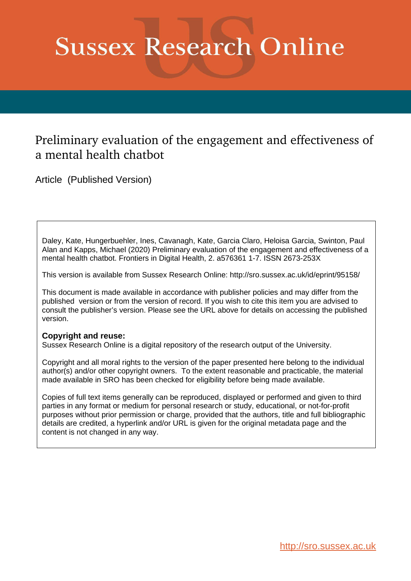# **Sussex Research Online**

## Preliminary evaluation of the engagement and effectiveness of a mental health chatbot

Article (Published Version)

Daley, Kate, Hungerbuehler, Ines, Cavanagh, Kate, Garcia Claro, Heloisa Garcia, Swinton, Paul Alan and Kapps, Michael (2020) Preliminary evaluation of the engagement and effectiveness of a mental health chatbot. Frontiers in Digital Health, 2. a576361 1-7. ISSN 2673-253X

This version is available from Sussex Research Online: http://sro.sussex.ac.uk/id/eprint/95158/

This document is made available in accordance with publisher policies and may differ from the published version or from the version of record. If you wish to cite this item you are advised to consult the publisher's version. Please see the URL above for details on accessing the published version.

#### **Copyright and reuse:**

Sussex Research Online is a digital repository of the research output of the University.

Copyright and all moral rights to the version of the paper presented here belong to the individual author(s) and/or other copyright owners. To the extent reasonable and practicable, the material made available in SRO has been checked for eligibility before being made available.

Copies of full text items generally can be reproduced, displayed or performed and given to third parties in any format or medium for personal research or study, educational, or not-for-profit purposes without prior permission or charge, provided that the authors, title and full bibliographic details are credited, a hyperlink and/or URL is given for the original metadata page and the content is not changed in any way.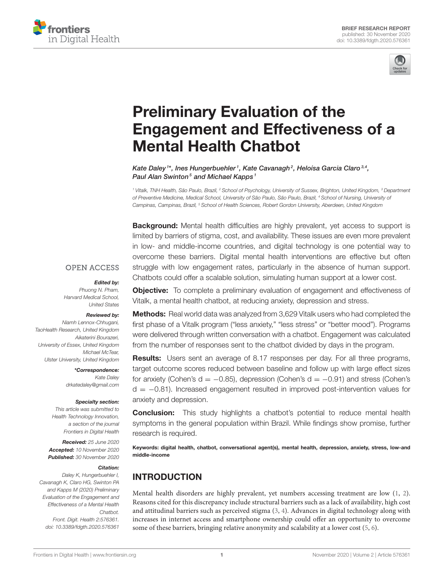



# Preliminary Evaluation of the [Engagement and Effectiveness of a](https://www.frontiersin.org/articles/10.3389/fdgth.2020.576361/full) Mental Health Chatbot

Kate Daley <sup>1\*</sup>, Ines Hungerbuehler <sup>1</sup>, Kate Cavanagh <sup>2</sup>, Heloísa Garcia Claro <sup>3,4</sup>, Paul Alan Swinton<sup>5</sup> and Michael Kapps<sup>1</sup>

<sup>1</sup> Vitalk, TNH Health, São Paulo, Brazil, <sup>2</sup> School of Psychology, University of Sussex, Brighton, United Kingdom, <sup>3</sup> Department of Preventive Medicine, Medical School, University of São Paulo, São Paulo, Brazil, <sup>4</sup> School of Nursing, University of Campinas, Campinas, Brazil, <sup>5</sup> School of Health Sciences, Robert Gordon University, Aberdeen, United Kingdom

**Background:** Mental health difficulties are highly prevalent, yet access to support is limited by barriers of stigma, cost, and availability. These issues are even more prevalent in low- and middle-income countries, and digital technology is one potential way to overcome these barriers. Digital mental health interventions are effective but often struggle with low engagement rates, particularly in the absence of human support. Chatbots could offer a scalable solution, simulating human support at a lower cost.

#### **OPEN ACCESS**

#### Edited by:

Phuong N. Pham, Harvard Medical School, United States

#### Reviewed by:

Niamh Lennox-Chhugani, TaoHealth Research, United Kingdom Aikaterini Bourazeri, University of Essex, United Kingdom Michael McTear, Ulster University, United Kingdom

> \*Correspondence: Kate Daley [drkatedaley@gmail.com](mailto:drkatedaley@gmail.com)

#### Specialty section:

This article was submitted to Health Technology Innovation, a section of the journal Frontiers in Digital Health

Received: 25 June 2020 Accepted: 10 November 2020 Published: 30 November 2020

#### Citation:

Daley K, Hungerbuehler I, Cavanagh K, Claro HG, Swinton PA and Kapps M (2020) Preliminary Evaluation of the Engagement and Effectiveness of a Mental Health Chathot Front. Digit. Health 2:576361. doi: [10.3389/fdgth.2020.576361](https://doi.org/10.3389/fdgth.2020.576361)

**Objective:** To complete a preliminary evaluation of engagement and effectiveness of Vitalk, a mental health chatbot, at reducing anxiety, depression and stress.

**Methods:** Real world data was analyzed from 3,629 Vitalk users who had completed the first phase of a Vitalk program ("less anxiety," "less stress" or "better mood"). Programs were delivered through written conversation with a chatbot. Engagement was calculated from the number of responses sent to the chatbot divided by days in the program.

Results: Users sent an average of 8.17 responses per day. For all three programs, target outcome scores reduced between baseline and follow up with large effect sizes for anxiety (Cohen's  $d = -0.85$ ), depression (Cohen's  $d = -0.91$ ) and stress (Cohen's d = −0.81). Increased engagement resulted in improved post-intervention values for anxiety and depression.

**Conclusion:** This study highlights a chatbot's potential to reduce mental health symptoms in the general population within Brazil. While findings show promise, further research is required.

Keywords: digital health, chatbot, conversational agent(s), mental health, depression, anxiety, stress, low-and middle-income

#### INTRODUCTION

Mental health disorders are highly prevalent, yet numbers accessing treatment are low [\(1,](#page-6-0) [2\)](#page-6-1). Reasons cited for this discrepancy include structural barriers such as a lack of availability, high cost and attitudinal barriers such as perceived stigma [\(3,](#page-6-2) [4\)](#page-6-3). Advances in digital technology along with increases in internet access and smartphone ownership could offer an opportunity to overcome some of these barriers, bringing relative anonymity and scalability at a lower cost [\(5,](#page-6-4) [6\)](#page-6-5).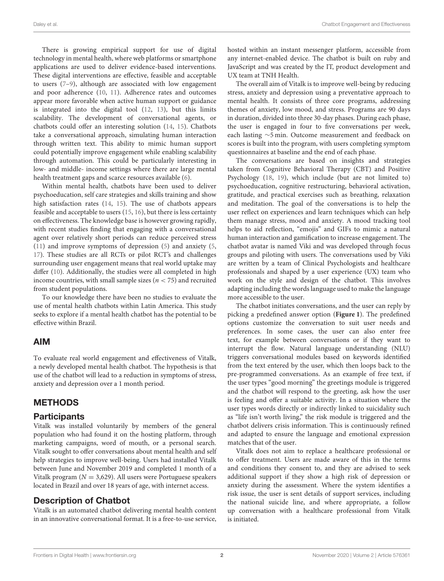There is growing empirical support for use of digital technology in mental health, where web platforms or smartphone applications are used to deliver evidence-based interventions. These digital interventions are effective, feasible and acceptable to users [\(7](#page-6-6)[–9\)](#page-6-7), although are associated with low engagement and poor adherence [\(10,](#page-6-8) [11\)](#page-6-9). Adherence rates and outcomes appear more favorable when active human support or guidance is integrated into the digital tool [\(12,](#page-6-10) [13\)](#page-6-11), but this limits scalability. The development of conversational agents, or chatbots could offer an interesting solution [\(14,](#page-6-12) [15\)](#page-6-13). Chatbots take a conversational approach, simulating human interaction through written text. This ability to mimic human support could potentially improve engagement while enabling scalability through automation. This could be particularly interesting in low- and middle- income settings where there are large mental health treatment gaps and scarce resources available [\(6\)](#page-6-5).

Within mental health, chatbots have been used to deliver psychoeducation, self care strategies and skills training and show high satisfaction rates [\(14,](#page-6-12) [15\)](#page-6-13). The use of chatbots appears feasible and acceptable to users [\(15,](#page-6-13) [16\)](#page-6-14), but there is less certainty on effectiveness. The knowledge base is however growing rapidly, with recent studies finding that engaging with a conversational agent over relatively short periods can reduce perceived stress [\(11\)](#page-6-9) and improve symptoms of depression [\(5\)](#page-6-4) and anxiety [\(5,](#page-6-4) [17\)](#page-6-15). These studies are all RCTs or pilot RCT's and challenges surrounding user engagement means that real world uptake may differ [\(10\)](#page-6-8). Additionally, the studies were all completed in high income countries, with small sample sizes ( $n < 75$ ) and recruited from student populations.

To our knowledge there have been no studies to evaluate the use of mental health chatbots within Latin America. This study seeks to explore if a mental health chatbot has the potential to be effective within Brazil.

#### AIM

To evaluate real world engagement and effectiveness of Vitalk, a newly developed mental health chatbot. The hypothesis is that use of the chatbot will lead to a reduction in symptoms of stress, anxiety and depression over a 1 month period.

## METHODS

#### **Participants**

Vitalk was installed voluntarily by members of the general population who had found it on the hosting platform, through marketing campaigns, word of mouth, or a personal search. Vitalk sought to offer conversations about mental health and self help strategies to improve well-being. Users had installed Vitalk between June and November 2019 and completed 1 month of a Vitalk program ( $N = 3,629$ ). All users were Portuguese speakers located in Brazil and over 18 years of age, with internet access.

## Description of Chatbot

Vitalk is an automated chatbot delivering mental health content in an innovative conversational format. It is a free-to-use service,

hosted within an instant messenger platform, accessible from any internet-enabled device. The chatbot is built on ruby and JavaScript and was created by the IT, product development and UX team at TNH Health.

The overall aim of Vitalk is to improve well-being by reducing stress, anxiety and depression using a preventative approach to mental health. It consists of three core programs, addressing themes of anxiety, low mood, and stress. Programs are 90 days in duration, divided into three 30-day phases. During each phase, the user is engaged in four to five conversations per week, each lasting ∼5 min. Outcome measurement and feedback on scores is built into the program, with users completing symptom questionnaires at baseline and the end of each phase.

The conversations are based on insights and strategies taken from Cognitive Behavioral Therapy (CBT) and Positive Psychology [\(18,](#page-6-16) [19\)](#page-7-0), which include (but are not limited to) psychoeducation, cognitive restructuring, behavioral activation, gratitude, and practical exercises such as breathing, relaxation and meditation. The goal of the conversations is to help the user reflect on experiences and learn techniques which can help them manage stress, mood and anxiety. A mood tracking tool helps to aid reflection, "emojis" and GIFs to mimic a natural human interaction and gamification to increase engagement. The chatbot avatar is named Viki and was developed through focus groups and piloting with users. The conversations used by Viki are written by a team of Clinical Psychologists and healthcare professionals and shaped by a user experience (UX) team who work on the style and design of the chatbot. This involves adapting including the words language used to make the language more accessible to the user.

The chatbot initiates conversations, and the user can reply by picking a predefined answer option (**[Figure 1](#page-3-0)**). The predefined options customize the conversation to suit user needs and preferences. In some cases, the user can also enter free text, for example between conversations or if they want to interrupt the flow. Natural language understanding (NLU) triggers conversational modules based on keywords identified from the text entered by the user, which then loops back to the pre-programmed conversations. As an example of free text, if the user types "good morning" the greetings module is triggered and the chatbot will respond to the greeting, ask how the user is feeling and offer a suitable activity. In a situation where the user types words directly or indirectly linked to suicidality such as "life isn't worth living," the risk module is triggered and the chatbot delivers crisis information. This is continuously refined and adapted to ensure the language and emotional expression matches that of the user.

Vitalk does not aim to replace a healthcare professional or to offer treatment. Users are made aware of this in the terms and conditions they consent to, and they are advised to seek additional support if they show a high risk of depression or anxiety during the assessment. Where the system identifies a risk issue, the user is sent details of support services, including the national suicide line, and where appropriate, a follow up conversation with a healthcare professional from Vitalk is initiated.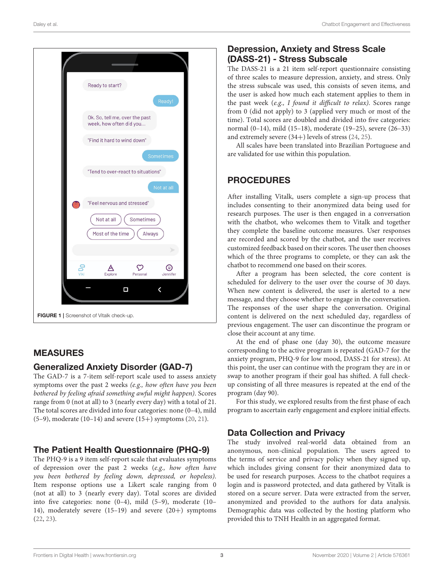

## <span id="page-3-0"></span>MEASURES

## Generalized Anxiety Disorder (GAD-7)

The GAD-7 is a 7-item self-report scale used to assess anxiety symptoms over the past 2 weeks (e.g., how often have you been bothered by feeling afraid something awful might happen). Scores range from 0 (not at all) to 3 (nearly every day) with a total of 21. The total scores are divided into four categories: none (0–4), mild (5–9), moderate (10–14) and severe (15+) symptoms [\(20,](#page-7-1) [21\)](#page-7-2).

## The Patient Health Questionnaire (PHQ-9)

The PHQ-9 is a 9 item self-report scale that evaluates symptoms of depression over the past 2 weeks (e.g., how often have you been bothered by feeling down, depressed, or hopeless). Item response options use a Likert scale ranging from 0 (not at all) to 3 (nearly every day). Total scores are divided into five categories: none (0–4), mild (5–9), moderate (10– 14), moderately severe (15–19) and severe (20+) symptoms [\(22,](#page-7-3) [23\)](#page-7-4).

## Depression, Anxiety and Stress Scale (DASS-21) - Stress Subscale

The DASS-21 is a 21 item self-report questionnaire consisting of three scales to measure depression, anxiety, and stress. Only the stress subscale was used, this consists of seven items, and the user is asked how much each statement applies to them in the past week (e.g., I found it difficult to relax). Scores range from 0 (did not apply) to 3 (applied very much or most of the time). Total scores are doubled and divided into five categories: normal (0–14), mild (15–18), moderate (19–25), severe (26–33) and extremely severe (34+) levels of stress [\(24,](#page-7-5) [25\)](#page-7-6).

All scales have been translated into Brazilian Portuguese and are validated for use within this population.

## PROCEDURES

After installing Vitalk, users complete a sign-up process that includes consenting to their anonymized data being used for research purposes. The user is then engaged in a conversation with the chatbot, who welcomes them to Vitalk and together they complete the baseline outcome measures. User responses are recorded and scored by the chatbot, and the user receives customized feedback based on their scores. The user then chooses which of the three programs to complete, or they can ask the chatbot to recommend one based on their scores.

After a program has been selected, the core content is scheduled for delivery to the user over the course of 30 days. When new content is delivered, the user is alerted to a new message, and they choose whether to engage in the conversation. The responses of the user shape the conversation. Original content is delivered on the next scheduled day, regardless of previous engagement. The user can discontinue the program or close their account at any time.

At the end of phase one (day 30), the outcome measure corresponding to the active program is repeated (GAD-7 for the anxiety program, PHQ-9 for low mood, DASS-21 for stress). At this point, the user can continue with the program they are in or swap to another program if their goal has shifted. A full checkup consisting of all three measures is repeated at the end of the program (day 90).

For this study, we explored results from the first phase of each program to ascertain early engagement and explore initial effects.

## Data Collection and Privacy

The study involved real-world data obtained from an anonymous, non-clinical population. The users agreed to the terms of service and privacy policy when they signed up, which includes giving consent for their anonymized data to be used for research purposes. Access to the chatbot requires a login and is password protected, and data gathered by Vitalk is stored on a secure server. Data were extracted from the server, anonymized and provided to the authors for data analysis. Demographic data was collected by the hosting platform who provided this to TNH Health in an aggregated format.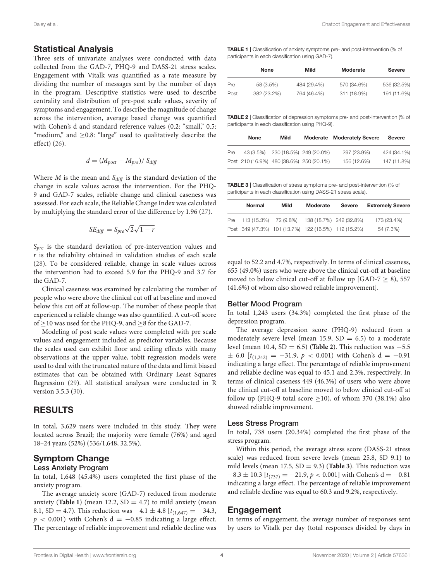#### Statistical Analysis

Three sets of univariate analyses were conducted with data collected from the GAD-7, PHQ-9 and DASS-21 stress scales. Engagement with Vitalk was quantified as a rate measure by dividing the number of messages sent by the number of days in the program. Descriptive statistics were used to describe centrality and distribution of pre-post scale values, severity of symptoms and engagement. To describe the magnitude of change across the intervention, average based change was quantified with Cohen's d and standard reference values (0.2: "small," 0.5: "medium," and  $\geq$ 0.8: "large" used to qualitatively describe the effect) [\(26\)](#page-7-7).

$$
d = (M_{post} - M_{pre})/S_{diff}
$$

Where  $M$  is the mean and  $S_{diff}$  is the standard deviation of the change in scale values across the intervention. For the PHQ-9 and GAD-7 scales, reliable change and clinical caseness was assessed. For each scale, the Reliable Change Index was calculated by multiplying the standard error of the difference by 1.96 [\(27\)](#page-7-8).

$$
SE_{diff} = S_{pre} \sqrt{2\sqrt{1-r}}
$$

 $S_{pre}$  is the standard deviation of pre-intervention values and  $r$  is the reliability obtained in validation studies of each scale [\(28\)](#page-7-9). To be considered reliable, change in scale values across the intervention had to exceed 5.9 for the PHQ-9 and 3.7 for the GAD-7.

Clinical caseness was examined by calculating the number of people who were above the clinical cut off at baseline and moved below this cut off at follow-up. The number of these people that experienced a reliable change was also quantified. A cut-off score of  $\geq$ 10 was used for the PHQ-9, and  $\geq$ 8 for the GAD-7.

Modeling of post scale values were completed with pre scale values and engagement included as predictor variables. Because the scales used can exhibit floor and ceiling effects with many observations at the upper value, tobit regression models were used to deal with the truncated nature of the data and limit biased estimates that can be obtained with Ordinary Least Squares Regression [\(29\)](#page-7-10). All statistical analyses were conducted in R version 3.5.3 [\(30\)](#page-7-11).

#### RESULTS

In total, 3,629 users were included in this study. They were located across Brazil; the majority were female (76%) and aged 18–24 years (52%) (536/1,648, 32.5%).

## Symptom Change

#### Less Anxiety Program

In total, 1,648 (45.4%) users completed the first phase of the anxiety program.

The average anxiety score (GAD-7) reduced from moderate anxiety (**[Table 1](#page-4-0)**) (mean 12.2,  $SD = 4.7$ ) to mild anxiety (mean 8.1, SD = 4.7). This reduction was  $-4.1 \pm 4.8$  [ $t_{(1,647)} = -34.3$ ,  $p < 0.001$ ) with Cohen's d = -0.85 indicating a large effect. The percentage of reliable improvement and reliable decline was

<span id="page-4-0"></span>TABLE 1 | Classification of anxiety symptoms pre- and post-intervention (% of participants in each classification using GAD-7).

|      | <b>None</b> | Mild        | Moderate    | <b>Severe</b> |
|------|-------------|-------------|-------------|---------------|
| Pre  | 58 (3.5%)   | 484 (29.4%) | 570 (34.6%) | 536 (32.5%)   |
| Post | 382 (23.2%) | 764 (46.4%) | 311 (18.9%) | 191 (11.6%)   |

<span id="page-4-1"></span>TABLE 2 | Classification of depression symptoms pre- and post-intervention (% of participants in each classification using PHQ-9).

|     | <b>None</b> | Mild                                     | <b>Moderate Moderately Severe</b> | <b>Severe</b> |
|-----|-------------|------------------------------------------|-----------------------------------|---------------|
| Pre |             | 43 (3.5%) 230 (18.5%) 249 (20.0%)        | 297 (23.9%)                       | 424 (34.1%)   |
|     |             | Post 210 (16.9%) 480 (38.6%) 250 (20.1%) | 156 (12.6%)                       | 147 (11.8%)   |

<span id="page-4-2"></span>TABLE 3 | Classification of stress symptoms pre- and post-intervention (% of participants in each classification using DASS-21 stress scale).

| <b>Normal</b>                                        | Mild | Moderate | <b>Severe</b> | <b>Extremely Severe</b> |
|------------------------------------------------------|------|----------|---------------|-------------------------|
| Pre 113 (15.3%) 72 (9.8%) 138 (18.7%) 242 (32.8%)    |      |          |               | 173 (23.4%)             |
| Post 349 (47.3%) 101 (13.7%) 122 (16.5%) 112 (15.2%) |      |          |               | 54 (7.3%)               |

equal to 52.2 and 4.7%, respectively. In terms of clinical caseness, 655 (49.0%) users who were above the clinical cut-off at baseline moved to below clinical cut-off at follow up [GAD-7  $\geq$  8), 557 (41.6%) of whom also showed reliable improvement].

#### Better Mood Program

In total 1,243 users (34.3%) completed the first phase of the depression program.

The average depression score (PHQ-9) reduced from a moderately severe level (mean 15.9,  $SD = 6.5$ ) to a moderate level (mean 10.4, SD = 6.5) (**[Table 2](#page-4-1)**). This reduction was −5.5  $\pm$  6.0  $[t_{(1,242)} = -31.9, p < 0.001)$  with Cohen's  $d = -0.91$ indicating a large effect. The percentage of reliable improvement and reliable decline was equal to 45.1 and 2.3%, respectively. In terms of clinical caseness 449 (46.3%) of users who were above the clinical cut-off at baseline moved to below clinical cut-off at follow up (PHQ-9 total score  $\geq$ 10), of whom 370 (38.1%) also showed reliable improvement.

#### Less Stress Program

In total, 738 users (20.34%) completed the first phase of the stress program.

Within this period, the average stress score (DASS-21 stress scale) was reduced from severe levels (mean 25.8, SD 9.1) to mild levels (mean 17.5,  $SD = 9.3$ ) (**[Table 3](#page-4-2)**). This reduction was  $-8.3 \pm 10.3$  [ $t_{(737)} = -21.9$ ,  $p < 0.001$ ] with Cohen's d = -0.81 indicating a large effect. The percentage of reliable improvement and reliable decline was equal to 60.3 and 9.2%, respectively.

#### Engagement

In terms of engagement, the average number of responses sent by users to Vitalk per day (total responses divided by days in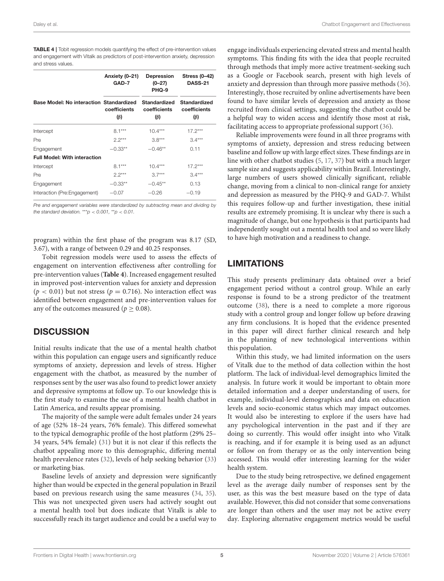<span id="page-5-0"></span>TABLE 4 | Tobit regression models quantifying the effect of pre-intervention values and engagement with Vitalk as predictors of post-intervention anxiety, depression and stress values.

|                                         | Anxiety (0–21)<br>GAD-7   | Depression<br>$(0 - 27)$<br>PHQ-9         | <b>Stress (0-42)</b><br><b>DASS-21</b>    |
|-----------------------------------------|---------------------------|-------------------------------------------|-------------------------------------------|
| Base Model: No interaction Standardized | coefficients<br>$(\beta)$ | Standardized<br>coefficients<br>$(\beta)$ | Standardized<br>coefficients<br>$(\beta)$ |
| Intercept                               | $8.1***$                  | $10.4***$                                 | $17.2***$                                 |
| Pre                                     | $22***$                   | $3.8***$                                  | $3.4***$                                  |
| Engagement                              | $-0.33**$                 | $-0.46**$                                 | 0.11                                      |
| <b>Full Model: With interaction</b>     |                           |                                           |                                           |
| Intercept                               | $8.1***$                  | $10.4***$                                 | $17.2***$                                 |
| Pre                                     | $22***$                   | $3.7***$                                  | $3.4***$                                  |
| Engagement                              | $-0.33**$                 | $-0.45**$                                 | 0.13                                      |
| Interaction (Pre: Engagement)           | $-0.07$                   | $-0.26$                                   | $-0.19$                                   |

Pre and engagement variables were standardized by subtracting mean and dividing by the standard deviation. \*\*\*p < 0.001, \*\*p < 0.01.

program) within the first phase of the program was 8.17 (SD, 3.67), with a range of between 0.29 and 40.25 responses.

Tobit regression models were used to assess the effects of engagement on intervention effectiveness after controlling for pre-intervention values (**[Table 4](#page-5-0)**). Increased engagement resulted in improved post-intervention values for anxiety and depression  $(p < 0.01)$  but not stress  $(p = 0.716)$ . No interaction effect was identified between engagement and pre-intervention values for any of the outcomes measured ( $p \ge 0.08$ ).

#### **DISCUSSION**

Initial results indicate that the use of a mental health chatbot within this population can engage users and significantly reduce symptoms of anxiety, depression and levels of stress. Higher engagement with the chatbot, as measured by the number of responses sent by the user was also found to predict lower anxiety and depressive symptoms at follow up. To our knowledge this is the first study to examine the use of a mental health chatbot in Latin America, and results appear promising.

The majority of the sample were adult females under 24 years of age (52% 18–24 years, 76% female). This differed somewhat to the typical demographic profile of the host platform (29% 25– 34 years, 54% female) [\(31\)](#page-7-12) but it is not clear if this reflects the chatbot appealing more to this demographic, differing mental health prevalence rates [\(32\)](#page-7-13), levels of help seeking behavior [\(33\)](#page-7-14) or marketing bias.

Baseline levels of anxiety and depression were significantly higher than would be expected in the general population in Brazil based on previous research using the same measures [\(34,](#page-7-15) [35\)](#page-7-16). This was not unexpected given users had actively sought out a mental health tool but does indicate that Vitalk is able to successfully reach its target audience and could be a useful way to engage individuals experiencing elevated stress and mental health symptoms. This finding fits with the idea that people recruited through methods that imply more active treatment-seeking such as a Google or Facebook search, present with high levels of anxiety and depression than through more passive methods [\(36\)](#page-7-17). Interestingly, those recruited by online advertisements have been found to have similar levels of depression and anxiety as those recruited from clinical settings, suggesting the chatbot could be a helpful way to widen access and identify those most at risk, facilitating access to appropriate professional support [\(36\)](#page-7-17).

Reliable improvements were found in all three programs with symptoms of anxiety, depression and stress reducing between baseline and follow up with large effect sizes. These findings are in line with other chatbot studies [\(5,](#page-6-4) [17,](#page-6-15) [37\)](#page-7-18) but with a much larger sample size and suggests applicability within Brazil. Interestingly, large numbers of users showed clinically significant, reliable change, moving from a clinical to non-clinical range for anxiety and depression as measured by the PHQ-9 and GAD-7. Whilst this requires follow-up and further investigation, these initial results are extremely promising. It is unclear why there is such a magnitude of change, but one hypothesis is that participants had independently sought out a mental health tool and so were likely to have high motivation and a readiness to change.

## **LIMITATIONS**

This study presents preliminary data obtained over a brief engagement period without a control group. While an early response is found to be a strong predictor of the treatment outcome [\(38\)](#page-7-19), there is a need to complete a more rigorous study with a control group and longer follow up before drawing any firm conclusions. It is hoped that the evidence presented in this paper will direct further clinical research and help in the planning of new technological interventions within this population.

Within this study, we had limited information on the users of Vitalk due to the method of data collection within the host platform. The lack of individual-level demographics limited the analysis. In future work it would be important to obtain more detailed information and a deeper understanding of users, for example, individual-level demographics and data on education levels and socio-economic status which may impact outcomes. It would also be interesting to explore if the users have had any psychological intervention in the past and if they are doing so currently. This would offer insight into who Vitalk is reaching, and if for example it is being used as an adjunct or follow on from therapy or as the only intervention being accessed. This would offer interesting learning for the wider health system.

Due to the study being retrospective, we defined engagement level as the average daily number of responses sent by the user, as this was the best measure based on the type of data available. However, this did not consider that some conversations are longer than others and the user may not be active every day. Exploring alternative engagement metrics would be useful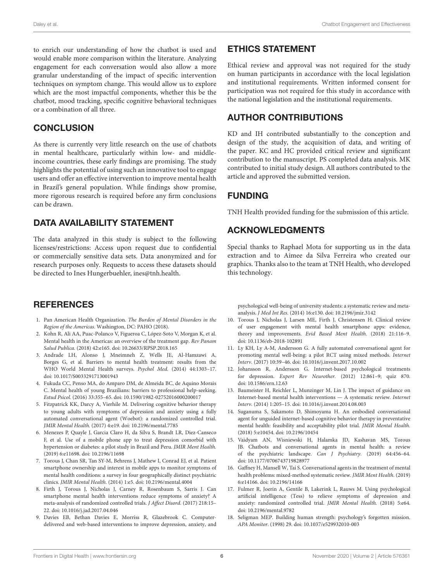to enrich our understanding of how the chatbot is used and would enable more comparison within the literature. Analyzing engagement for each conversation would also allow a more granular understanding of the impact of specific intervention techniques on symptom change. This would allow us to explore which are the most impactful components, whether this be the chatbot, mood tracking, specific cognitive behavioral techniques or a combination of all three.

#### **CONCLUSION**

As there is currently very little research on the use of chatbots in mental healthcare, particularly within low- and middleincome countries, these early findings are promising. The study highlights the potential of using such an innovative tool to engage users and offer an effective intervention to improve mental health in Brazil's general population. While findings show promise, more rigorous research is required before any firm conclusions can be drawn.

#### DATA AVAILABILITY STATEMENT

The data analyzed in this study is subject to the following licenses/restrictions: Access upon request due to confidential or commercially sensitive data sets. Data anonymized and for research purposes only. Requests to access these datasets should be directed to Ines Hungerbuehler, ines@tnh.health.

#### **REFERENCES**

- <span id="page-6-0"></span>1. Pan American Health Organization. The Burden of Mental Disorders in the Region of the Americas. Washington, DC: PAHO (2018).
- <span id="page-6-1"></span>2. Kohn R, Ali AA, Puac-Polanco V, Figueroa C, López-Soto V, Morgan K, et al. Mental health in the Americas: an overview of the treatment gap. Rev Panam Salud Publica. (2018) 42:e165. doi: [10.26633/RPSP.2018.165](https://doi.org/10.26633/RPSP.2018.165)
- <span id="page-6-2"></span>3. Andrade LH, Alonso J, Mneimneh Z, Wells JE, Al-Hamzawi A, Borges G, et al. Barriers to mental health treatment: results from the WHO World Mental Health surveys. Psychol Med. (2014) 44:1303–17. doi: [10.1017/S0033291713001943](https://doi.org/10.1017/S0033291713001943)
- <span id="page-6-3"></span>4. Fukuda CC, Penso MA, do Amparo DM, de Almeida BC, de Aquino Morais C. Mental health of young Brazilians: barriers to professional help-seeking. Estud Psicol. (2016) 33:355–65. doi: [10.1590/1982-02752016000200017](https://doi.org/10.1590/1982-02752016000200017)
- <span id="page-6-4"></span>5. Fitzpatrick KK, Darcy A, Vierhile M. Delivering cognitive behavior therapy to young adults with symptoms of depression and anxiety using a fully automated conversational agent (Woebot): a randomized controlled trial. JMIR Mental Health. (2017) 4:e19. doi: [10.2196/mental.7785](https://doi.org/10.2196/mental.7785)
- <span id="page-6-5"></span>6. Menezes P, Quayle J, Garcia Claro H, da Silva S, Brandt LR, Diez-Canseco F, et al. Use of a mobile phone app to treat depression comorbid with hypertension or diabetes: a pilot study in Brazil and Peru. JMIR Ment Health. (2019) 6:e11698. doi: [10.2196/11698](https://doi.org/10.2196/11698)
- <span id="page-6-6"></span>7. Torous J, Chan SR, Tan SY-M, Behrens J, Mathew I, Conrad EJ, et al. Patient smartphone ownership and interest in mobile apps to monitor symptoms of mental health conditions: a survey in four geographically distinct psychiatric clinics. JMIR Mental Health. (2014) 1:e5. doi: [10.2196/mental.4004](https://doi.org/10.2196/mental.4004)
- 8. Firth J, Torous J, Nicholas J, Carney R, Rosenbaum S, Sarris J. Can smartphone mental health interventions reduce symptoms of anxiety? A meta-analysis of randomized controlled trials. J Affect Disord. (2017) 218:15– 22. doi: [10.1016/j.jad.2017.04.046](https://doi.org/10.1016/j.jad.2017.04.046)
- <span id="page-6-7"></span>9. Davies EB, Bethan Davies E, Morriss R, Glazebrook C. Computerdelivered and web-based interventions to improve depression, anxiety, and

#### ETHICS STATEMENT

Ethical review and approval was not required for the study on human participants in accordance with the local legislation and institutional requirements. Written informed consent for participation was not required for this study in accordance with the national legislation and the institutional requirements.

#### AUTHOR CONTRIBUTIONS

KD and IH contributed substantially to the conception and design of the study, the acquisition of data, and writing of the paper. KC and HC provided critical review and significant contribution to the manuscript. PS completed data analysis. MK contributed to initial study design. All authors contributed to the article and approved the submitted version.

#### FUNDING

TNH Health provided funding for the submission of this article.

#### ACKNOWLEDGMENTS

Special thanks to Raphael Mota for supporting us in the data extraction and to Aimee da Silva Ferreira who created our graphics. Thanks also to the team at TNH Health, who developed this technology.

psychological well-being of university students: a systematic review and metaanalysis. J Med Int Res. (2014) 16:e130. doi: [10.2196/jmir.3142](https://doi.org/10.2196/jmir.3142)

- <span id="page-6-8"></span>10. Torous J, Nicholas J, Larsen ME, Firth J, Christensen H. Clinical review of user engagement with mental health smartphone apps: evidence, theory and improvements. Evid Based Ment Health. (2018) 21:116–9. doi: [10.1136/eb-2018-102891](https://doi.org/10.1136/eb-2018-102891)
- <span id="page-6-9"></span>11. Ly KH, Ly A-M, Andersson G. A fully automated conversational agent for promoting mental well-being: a pilot RCT using mixed methods. Internet Interv. (2017) 10:39–46. doi: [10.1016/j.invent.2017.10.002](https://doi.org/10.1016/j.invent.2017.10.002)
- <span id="page-6-10"></span>12. Johansson R, Andersson G. Internet-based psychological treatments for depression. Expert Rev Neurother. (2012) 12:861–9; quiz 870. doi: [10.1586/ern.12.63](https://doi.org/10.1586/ern.12.63)
- <span id="page-6-11"></span>13. Baumeister H, Reichler L, Munzinger M, Lin J. The impact of guidance on Internet-based mental health interventions — A systematic review. Internet Interv. (2014) 1:205–15. doi: [10.1016/j.invent.2014.08.003](https://doi.org/10.1016/j.invent.2014.08.003)
- <span id="page-6-12"></span>14. Suganuma S, Sakamoto D, Shimoyama H. An embodied conversational agent for unguided internet-based cognitive behavior therapy in preventative mental health: feasibility and acceptability pilot trial. JMIR Mental Health. (2018) 5:e10454. doi: [10.2196/10454](https://doi.org/10.2196/10454)
- <span id="page-6-13"></span>15. Vaidyam AN, Wisniewski H, Halamka JD, Kashavan MS, Torous JB. Chatbots and conversational agents in mental health: a review of the psychiatric landscape. Can J Psychiatry. (2019) 64:456–64. doi: [10.1177/0706743719828977](https://doi.org/10.1177/0706743719828977)
- <span id="page-6-14"></span>16. Gaffney H, Mansell W, Tai S. Conversational agents in the treatment of mental health problems: mixed-method systematic review. JMIR Ment Health. (2019) 6:e14166. doi: [10.2196/14166](https://doi.org/10.2196/14166)
- <span id="page-6-15"></span>17. Fulmer R, Joerin A, Gentile B, Lakerink L, Rauws M. Using psychological artificial intelligence (Tess) to relieve symptoms of depression and anxiety: randomized controlled trial. JMIR Mental Health. (2018) 5:e64. doi: [10.2196/mental.9782](https://doi.org/10.2196/mental.9782)
- <span id="page-6-16"></span>18. Seligman MEP. Building human strength: psychology's forgotten mission. APA Monitor. (1998) 29. doi: [10.1037/e529932010-003](https://doi.org/10.1037/e529932010-003)